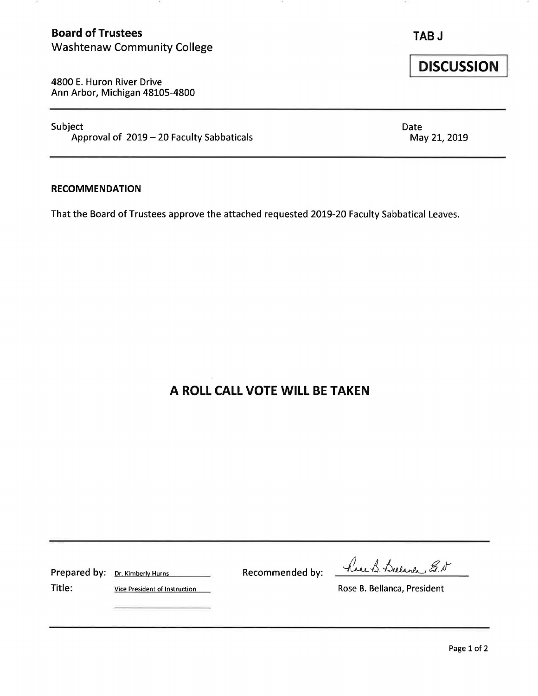## **Board of Trustees TAB J** Washtenaw Community College

**DISCUSSION** 

4800 E. Huron River Drive Ann Arbor, Michigan 48105-4800

Subject Date Approval of  $2019 - 20$  Faculty Sabbaticals May 21, 2019

#### **RECOMMENDATION**

That the Board of Trustees approve the attached requested 2019-20 Faculty Sabbatical Leaves.

# **A ROLL CALL VOTE WILL BE TAKEN**

Prepared by: Dr. Kimberly Hurns Recommended by:

have B. Bulance E.N.

Title: Vice President of Instruction Nose B. Bellanca, President